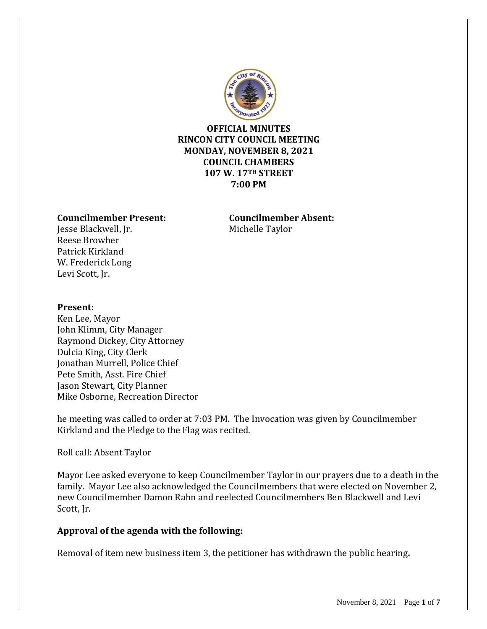

**OFFICIAL MINUTES RINCON CITY COUNCIL MEETING MONDAY, NOVEMBER 8, 2021 COUNCIL CHAMBERS 107 W. 17TH STREET 7:00 PM**

### **Councilmember Present: Councilmember Absent:**

Jesse Blackwell, Jr. Michelle Taylor Reese Browher Patrick Kirkland W. Frederick Long Levi Scott, Jr.

#### **Present:**

Ken Lee, Mayor John Klimm, City Manager Raymond Dickey, City Attorney Dulcia King, City Clerk Jonathan Murrell, Police Chief Pete Smith, Asst. Fire Chief Jason Stewart, City Planner Mike Osborne, Recreation Director

he meeting was called to order at 7:03 PM. The Invocation was given by Councilmember Kirkland and the Pledge to the Flag was recited.

Roll call: Absent Taylor

Mayor Lee asked everyone to keep Councilmember Taylor in our prayers due to a death in the family. Mayor Lee also acknowledged the Councilmembers that were elected on November 2, new Councilmember Damon Rahn and reelected Councilmembers Ben Blackwell and Levi Scott, Ir.

#### **Approval of the agenda with the following:**

Removal of item new business item 3, the petitioner has withdrawn the public hearing**.**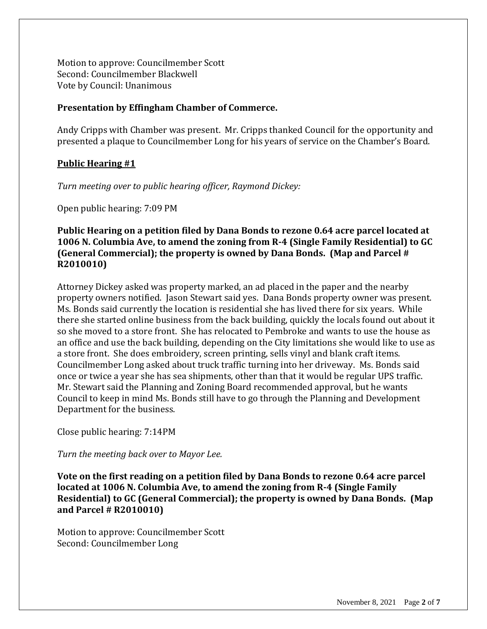Motion to approve: Councilmember Scott Second: Councilmember Blackwell Vote by Council: Unanimous

#### **Presentation by Effingham Chamber of Commerce.**

Andy Cripps with Chamber was present. Mr. Cripps thanked Council for the opportunity and presented a plaque to Councilmember Long for his years of service on the Chamber's Board.

### **Public Hearing #1**

*Turn meeting over to public hearing officer, Raymond Dickey:*

Open public hearing: 7:09 PM

### **Public Hearing on a petition filed by Dana Bonds to rezone 0.64 acre parcel located at 1006 N. Columbia Ave, to amend the zoning from R-4 (Single Family Residential) to GC (General Commercial); the property is owned by Dana Bonds. (Map and Parcel # R2010010)**

Attorney Dickey asked was property marked, an ad placed in the paper and the nearby property owners notified. Jason Stewart said yes. Dana Bonds property owner was present. Ms. Bonds said currently the location is residential she has lived there for six years. While there she started online business from the back building, quickly the locals found out about it so she moved to a store front. She has relocated to Pembroke and wants to use the house as an office and use the back building, depending on the City limitations she would like to use as a store front. She does embroidery, screen printing, sells vinyl and blank craft items. Councilmember Long asked about truck traffic turning into her driveway. Ms. Bonds said once or twice a year she has sea shipments, other than that it would be regular UPS traffic. Mr. Stewart said the Planning and Zoning Board recommended approval, but he wants Council to keep in mind Ms. Bonds still have to go through the Planning and Development Department for the business.

Close public hearing: 7:14PM

*Turn the meeting back over to Mayor Lee.*

**Vote on the first reading on a petition filed by Dana Bonds to rezone 0.64 acre parcel located at 1006 N. Columbia Ave, to amend the zoning from R-4 (Single Family Residential) to GC (General Commercial); the property is owned by Dana Bonds. (Map and Parcel # R2010010)**

Motion to approve: Councilmember Scott Second: Councilmember Long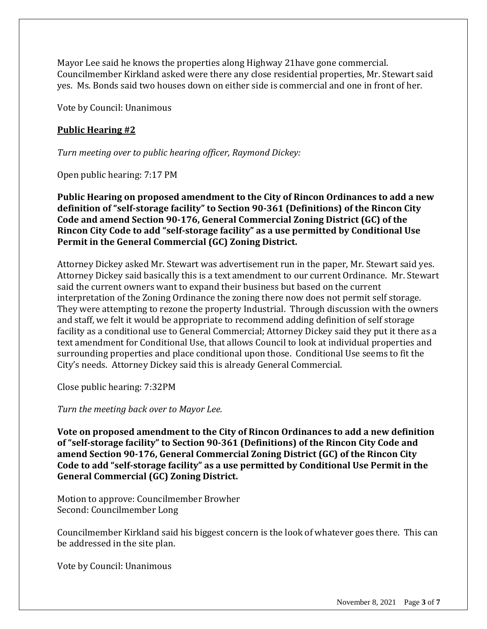Mayor Lee said he knows the properties along Highway 21have gone commercial. Councilmember Kirkland asked were there any close residential properties, Mr. Stewart said yes. Ms. Bonds said two houses down on either side is commercial and one in front of her.

Vote by Council: Unanimous

## **Public Hearing #2**

*Turn meeting over to public hearing officer, Raymond Dickey:*

Open public hearing: 7:17 PM

**Public Hearing on proposed amendment to the City of Rincon Ordinances to add a new definition of "self-storage facility" to Section 90-361 (Definitions) of the Rincon City Code and amend Section 90-176, General Commercial Zoning District (GC) of the Rincon City Code to add "self-storage facility" as a use permitted by Conditional Use Permit in the General Commercial (GC) Zoning District.**

Attorney Dickey asked Mr. Stewart was advertisement run in the paper, Mr. Stewart said yes. Attorney Dickey said basically this is a text amendment to our current Ordinance. Mr. Stewart said the current owners want to expand their business but based on the current interpretation of the Zoning Ordinance the zoning there now does not permit self storage. They were attempting to rezone the property Industrial. Through discussion with the owners and staff, we felt it would be appropriate to recommend adding definition of self storage facility as a conditional use to General Commercial; Attorney Dickey said they put it there as a text amendment for Conditional Use, that allows Council to look at individual properties and surrounding properties and place conditional upon those. Conditional Use seems to fit the City's needs. Attorney Dickey said this is already General Commercial.

Close public hearing: 7:32PM

*Turn the meeting back over to Mayor Lee.*

**Vote on proposed amendment to the City of Rincon Ordinances to add a new definition of "self-storage facility" to Section 90-361 (Definitions) of the Rincon City Code and amend Section 90-176, General Commercial Zoning District (GC) of the Rincon City Code to add "self-storage facility" as a use permitted by Conditional Use Permit in the General Commercial (GC) Zoning District.**

Motion to approve: Councilmember Browher Second: Councilmember Long

Councilmember Kirkland said his biggest concern is the look of whatever goes there. This can be addressed in the site plan.

Vote by Council: Unanimous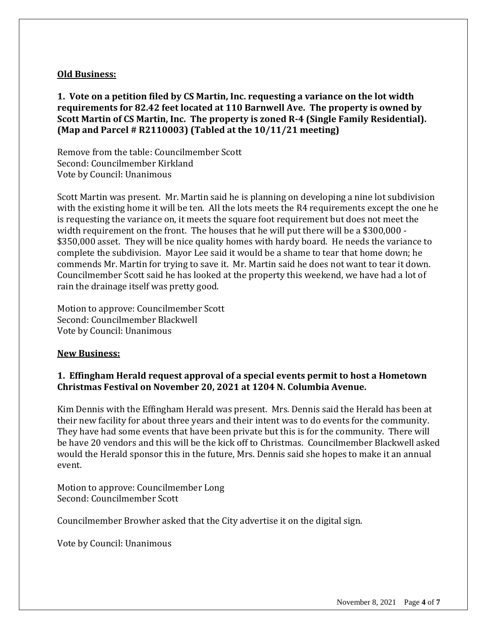### **Old Business:**

**1. Vote on a petition filed by CS Martin, Inc. requesting a variance on the lot width requirements for 82.42 feet located at 110 Barnwell Ave. The property is owned by Scott Martin of CS Martin, Inc. The property is zoned R-4 (Single Family Residential). (Map and Parcel # R2110003) (Tabled at the 10/11/21 meeting)**

Remove from the table: Councilmember Scott Second: Councilmember Kirkland Vote by Council: Unanimous

Scott Martin was present. Mr. Martin said he is planning on developing a nine lot subdivision with the existing home it will be ten. All the lots meets the R4 requirements except the one he is requesting the variance on, it meets the square foot requirement but does not meet the width requirement on the front. The houses that he will put there will be a \$300,000 - \$350,000 asset. They will be nice quality homes with hardy board. He needs the variance to complete the subdivision. Mayor Lee said it would be a shame to tear that home down; he commends Mr. Martin for trying to save it. Mr. Martin said he does not want to tear it down. Councilmember Scott said he has looked at the property this weekend, we have had a lot of rain the drainage itself was pretty good.

Motion to approve: Councilmember Scott Second: Councilmember Blackwell Vote by Council: Unanimous

#### **New Business:**

## **1. Effingham Herald request approval of a special events permit to host a Hometown Christmas Festival on November 20, 2021 at 1204 N. Columbia Avenue.**

Kim Dennis with the Effingham Herald was present. Mrs. Dennis said the Herald has been at their new facility for about three years and their intent was to do events for the community. They have had some events that have been private but this is for the community. There will be have 20 vendors and this will be the kick off to Christmas. Councilmember Blackwell asked would the Herald sponsor this in the future, Mrs. Dennis said she hopes to make it an annual event.

Motion to approve: Councilmember Long Second: Councilmember Scott

Councilmember Browher asked that the City advertise it on the digital sign.

Vote by Council: Unanimous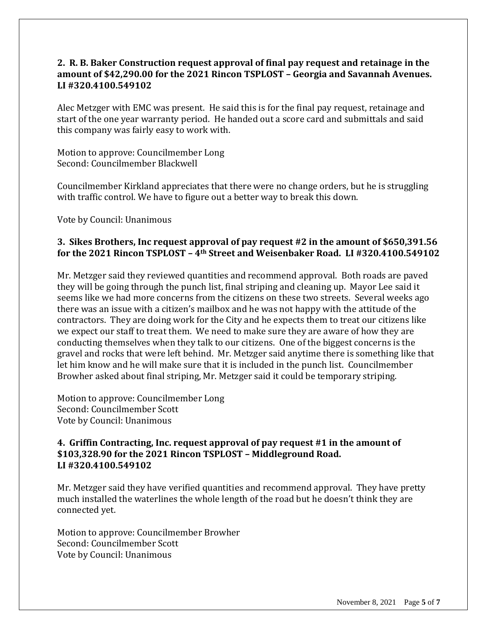## **2. R. B. Baker Construction request approval of final pay request and retainage in the amount of \$42,290.00 for the 2021 Rincon TSPLOST – Georgia and Savannah Avenues. LI #320.4100.549102**

Alec Metzger with EMC was present. He said this is for the final pay request, retainage and start of the one year warranty period. He handed out a score card and submittals and said this company was fairly easy to work with.

Motion to approve: Councilmember Long Second: Councilmember Blackwell

Councilmember Kirkland appreciates that there were no change orders, but he is struggling with traffic control. We have to figure out a better way to break this down.

Vote by Council: Unanimous

## **3. Sikes Brothers, Inc request approval of pay request #2 in the amount of \$650,391.56 for the 2021 Rincon TSPLOST – 4th Street and Weisenbaker Road. LI #320.4100.549102**

Mr. Metzger said they reviewed quantities and recommend approval. Both roads are paved they will be going through the punch list, final striping and cleaning up. Mayor Lee said it seems like we had more concerns from the citizens on these two streets. Several weeks ago there was an issue with a citizen's mailbox and he was not happy with the attitude of the contractors. They are doing work for the City and he expects them to treat our citizens like we expect our staff to treat them. We need to make sure they are aware of how they are conducting themselves when they talk to our citizens. One of the biggest concerns is the gravel and rocks that were left behind. Mr. Metzger said anytime there is something like that let him know and he will make sure that it is included in the punch list. Councilmember Browher asked about final striping, Mr. Metzger said it could be temporary striping.

Motion to approve: Councilmember Long Second: Councilmember Scott Vote by Council: Unanimous

## **4. Griffin Contracting, Inc. request approval of pay request #1 in the amount of \$103,328.90 for the 2021 Rincon TSPLOST – Middleground Road. LI #320.4100.549102**

Mr. Metzger said they have verified quantities and recommend approval. They have pretty much installed the waterlines the whole length of the road but he doesn't think they are connected yet.

Motion to approve: Councilmember Browher Second: Councilmember Scott Vote by Council: Unanimous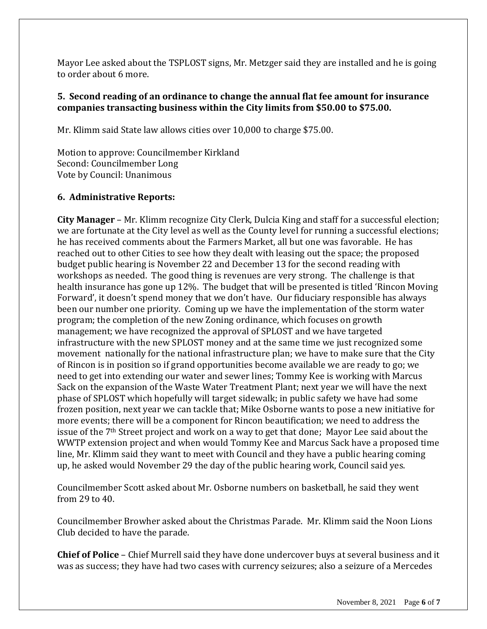Mayor Lee asked about the TSPLOST signs, Mr. Metzger said they are installed and he is going to order about 6 more.

## **5. Second reading of an ordinance to change the annual flat fee amount for insurance companies transacting business within the City limits from \$50.00 to \$75.00.**

Mr. Klimm said State law allows cities over 10,000 to charge \$75.00.

Motion to approve: Councilmember Kirkland Second: Councilmember Long Vote by Council: Unanimous

# **6. Administrative Reports:**

**City Manager** – Mr. Klimm recognize City Clerk, Dulcia King and staff for a successful election; we are fortunate at the City level as well as the County level for running a successful elections; he has received comments about the Farmers Market, all but one was favorable. He has reached out to other Cities to see how they dealt with leasing out the space; the proposed budget public hearing is November 22 and December 13 for the second reading with workshops as needed. The good thing is revenues are very strong. The challenge is that health insurance has gone up 12%. The budget that will be presented is titled 'Rincon Moving Forward', it doesn't spend money that we don't have. Our fiduciary responsible has always been our number one priority. Coming up we have the implementation of the storm water program; the completion of the new Zoning ordinance, which focuses on growth management; we have recognized the approval of SPLOST and we have targeted infrastructure with the new SPLOST money and at the same time we just recognized some movement nationally for the national infrastructure plan; we have to make sure that the City of Rincon is in position so if grand opportunities become available we are ready to go; we need to get into extending our water and sewer lines; Tommy Kee is working with Marcus Sack on the expansion of the Waste Water Treatment Plant; next year we will have the next phase of SPLOST which hopefully will target sidewalk; in public safety we have had some frozen position, next year we can tackle that; Mike Osborne wants to pose a new initiative for more events; there will be a component for Rincon beautification; we need to address the issue of the 7th Street project and work on a way to get that done; Mayor Lee said about the WWTP extension project and when would Tommy Kee and Marcus Sack have a proposed time line, Mr. Klimm said they want to meet with Council and they have a public hearing coming up, he asked would November 29 the day of the public hearing work, Council said yes.

Councilmember Scott asked about Mr. Osborne numbers on basketball, he said they went from 29 to 40.

Councilmember Browher asked about the Christmas Parade. Mr. Klimm said the Noon Lions Club decided to have the parade.

**Chief of Police** – Chief Murrell said they have done undercover buys at several business and it was as success; they have had two cases with currency seizures; also a seizure of a Mercedes